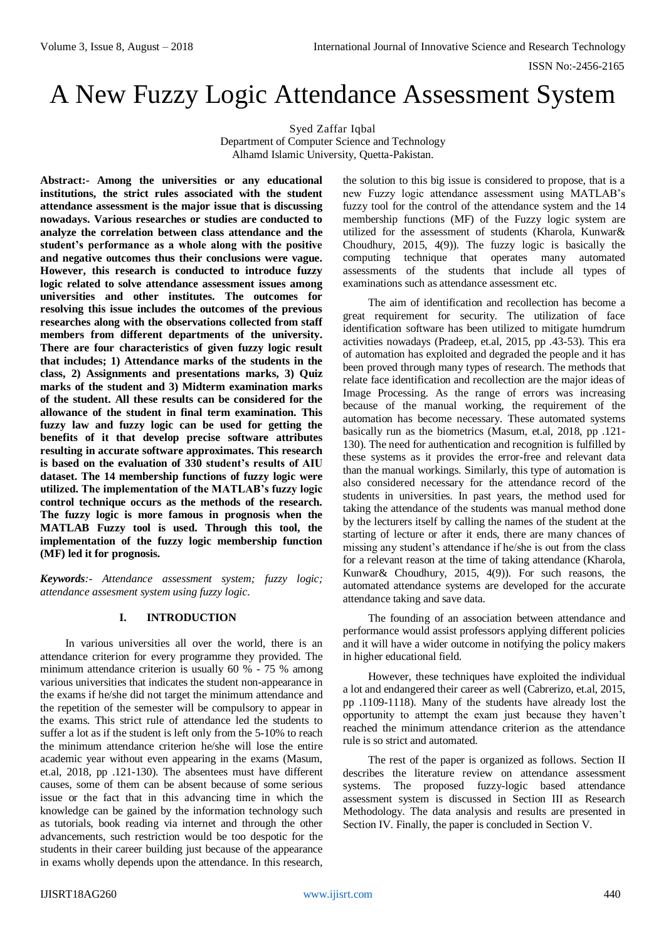# A New Fuzzy Logic Attendance Assessment System

Syed Zaffar Iqbal Department of Computer Science and Technology Alhamd Islamic University, Quetta-Pakistan.

**Abstract:- Among the universities or any educational institutions, the strict rules associated with the student attendance assessment is the major issue that is discussing nowadays. Various researches or studies are conducted to analyze the correlation between class attendance and the student's performance as a whole along with the positive and negative outcomes thus their conclusions were vague. However, this research is conducted to introduce fuzzy logic related to solve attendance assessment issues among universities and other institutes. The outcomes for resolving this issue includes the outcomes of the previous researches along with the observations collected from staff members from different departments of the university. There are four characteristics of given fuzzy logic result that includes; 1) Attendance marks of the students in the class, 2) Assignments and presentations marks, 3) Quiz marks of the student and 3) Midterm examination marks of the student. All these results can be considered for the allowance of the student in final term examination. This fuzzy law and fuzzy logic can be used for getting the benefits of it that develop precise software attributes resulting in accurate software approximates. This research is based on the evaluation of 330 student's results of AIU dataset. The 14 membership functions of fuzzy logic were utilized. The implementation of the MATLAB's fuzzy logic control technique occurs as the methods of the research. The fuzzy logic is more famous in prognosis when the MATLAB Fuzzy tool is used. Through this tool, the implementation of the fuzzy logic membership function (MF) led it for prognosis.**

*Keywords:- Attendance assessment system; fuzzy logic; attendance assesment system using fuzzy logic.*

#### **I. INTRODUCTION**

In various universities all over the world, there is an attendance criterion for every programme they provided. The minimum attendance criterion is usually 60 % - 75 % among various universities that indicates the student non-appearance in the exams if he/she did not target the minimum attendance and the repetition of the semester will be compulsory to appear in the exams. This strict rule of attendance led the students to suffer a lot as if the student is left only from the 5-10% to reach the minimum attendance criterion he/she will lose the entire academic year without even appearing in the exams (Masum, et.al, 2018, pp .121-130). The absentees must have different causes, some of them can be absent because of some serious issue or the fact that in this advancing time in which the knowledge can be gained by the information technology such as tutorials, book reading via internet and through the other advancements, such restriction would be too despotic for the students in their career building just because of the appearance in exams wholly depends upon the attendance. In this research, the solution to this big issue is considered to propose, that is a new Fuzzy logic attendance assessment using MATLAB's fuzzy tool for the control of the attendance system and the 14 membership functions (MF) of the Fuzzy logic system are utilized for the assessment of students (Kharola, Kunwar& Choudhury, 2015, 4(9)). The fuzzy logic is basically the computing technique that operates many automated assessments of the students that include all types of examinations such as attendance assessment etc.

The aim of identification and recollection has become a great requirement for security. The utilization of face identification software has been utilized to mitigate humdrum activities nowadays (Pradeep, et.al, 2015, pp .43-53). This era of automation has exploited and degraded the people and it has been proved through many types of research. The methods that relate face identification and recollection are the major ideas of Image Processing. As the range of errors was increasing because of the manual working, the requirement of the automation has become necessary. These automated systems basically run as the biometrics (Masum, et.al, 2018, pp .121- 130). The need for authentication and recognition is fulfilled by these systems as it provides the error-free and relevant data than the manual workings. Similarly, this type of automation is also considered necessary for the attendance record of the students in universities. In past years, the method used for taking the attendance of the students was manual method done by the lecturers itself by calling the names of the student at the starting of lecture or after it ends, there are many chances of missing any student's attendance if he/she is out from the class for a relevant reason at the time of taking attendance (Kharola, Kunwar& Choudhury, 2015, 4(9)). For such reasons, the automated attendance systems are developed for the accurate attendance taking and save data.

The founding of an association between attendance and performance would assist professors applying different policies and it will have a wider outcome in notifying the policy makers in higher educational field.

However, these techniques have exploited the individual a lot and endangered their career as well (Cabrerizo, et.al, 2015, pp .1109-1118). Many of the students have already lost the opportunity to attempt the exam just because they haven't reached the minimum attendance criterion as the attendance rule is so strict and automated.

The rest of the paper is organized as follows. Section II describes the literature review on attendance assessment systems. The proposed fuzzy-logic based attendance assessment system is discussed in Section III as Research Methodology. The data analysis and results are presented in Section IV. Finally, the paper is concluded in Section V.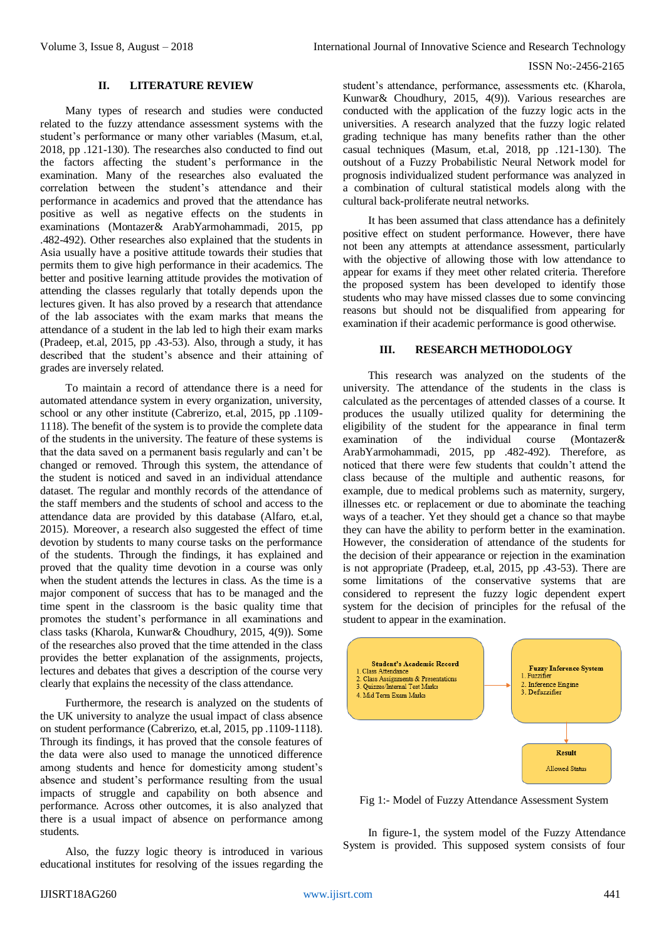#### **II. LITERATURE REVIEW**

Many types of research and studies were conducted related to the fuzzy attendance assessment systems with the student's performance or many other variables (Masum, et.al, 2018, pp .121-130). The researches also conducted to find out the factors affecting the student's performance in the examination. Many of the researches also evaluated the correlation between the student's attendance and their performance in academics and proved that the attendance has positive as well as negative effects on the students in examinations (Montazer& ArabYarmohammadi, 2015, pp .482-492). Other researches also explained that the students in Asia usually have a positive attitude towards their studies that permits them to give high performance in their academics. The better and positive learning attitude provides the motivation of attending the classes regularly that totally depends upon the lectures given. It has also proved by a research that attendance of the lab associates with the exam marks that means the attendance of a student in the lab led to high their exam marks (Pradeep, et.al, 2015, pp .43-53). Also, through a study, it has described that the student's absence and their attaining of grades are inversely related.

To maintain a record of attendance there is a need for automated attendance system in every organization, university, school or any other institute (Cabrerizo, et.al, 2015, pp .1109- 1118). The benefit of the system is to provide the complete data of the students in the university. The feature of these systems is that the data saved on a permanent basis regularly and can't be changed or removed. Through this system, the attendance of the student is noticed and saved in an individual attendance dataset. The regular and monthly records of the attendance of the staff members and the students of school and access to the attendance data are provided by this database (Alfaro, et.al, 2015). Moreover, a research also suggested the effect of time devotion by students to many course tasks on the performance of the students. Through the findings, it has explained and proved that the quality time devotion in a course was only when the student attends the lectures in class. As the time is a major component of success that has to be managed and the time spent in the classroom is the basic quality time that promotes the student's performance in all examinations and class tasks (Kharola, Kunwar& Choudhury, 2015, 4(9)). Some of the researches also proved that the time attended in the class provides the better explanation of the assignments, projects, lectures and debates that gives a description of the course very clearly that explains the necessity of the class attendance.

Furthermore, the research is analyzed on the students of the UK university to analyze the usual impact of class absence on student performance (Cabrerizo, et.al, 2015, pp .1109-1118). Through its findings, it has proved that the console features of the data were also used to manage the unnoticed difference among students and hence for domesticity among student's absence and student's performance resulting from the usual impacts of struggle and capability on both absence and performance. Across other outcomes, it is also analyzed that there is a usual impact of absence on performance among students.

Also, the fuzzy logic theory is introduced in various educational institutes for resolving of the issues regarding the

student's attendance, performance, assessments etc. (Kharola, Kunwar& Choudhury, 2015, 4(9)). Various researches are conducted with the application of the fuzzy logic acts in the universities. A research analyzed that the fuzzy logic related grading technique has many benefits rather than the other casual techniques (Masum, et.al, 2018, pp .121-130). The outshout of a Fuzzy Probabilistic Neural Network model for prognosis individualized student performance was analyzed in a combination of cultural statistical models along with the cultural back-proliferate neutral networks.

It has been assumed that class attendance has a definitely positive effect on student performance. However, there have not been any attempts at attendance assessment, particularly with the objective of allowing those with low attendance to appear for exams if they meet other related criteria. Therefore the proposed system has been developed to identify those students who may have missed classes due to some convincing reasons but should not be disqualified from appearing for examination if their academic performance is good otherwise.

# **III. RESEARCH METHODOLOGY**

This research was analyzed on the students of the university. The attendance of the students in the class is calculated as the percentages of attended classes of a course. It produces the usually utilized quality for determining the eligibility of the student for the appearance in final term examination of the individual course (Montazer& ArabYarmohammadi, 2015, pp .482-492). Therefore, as noticed that there were few students that couldn't attend the class because of the multiple and authentic reasons, for example, due to medical problems such as maternity, surgery, illnesses etc. or replacement or due to abominate the teaching ways of a teacher. Yet they should get a chance so that maybe they can have the ability to perform better in the examination. However, the consideration of attendance of the students for the decision of their appearance or rejection in the examination is not appropriate (Pradeep, et.al, 2015, pp .43-53). There are some limitations of the conservative systems that are considered to represent the fuzzy logic dependent expert system for the decision of principles for the refusal of the student to appear in the examination.



Fig 1:- Model of Fuzzy Attendance Assessment System

In figure-1, the system model of the Fuzzy Attendance System is provided. This supposed system consists of four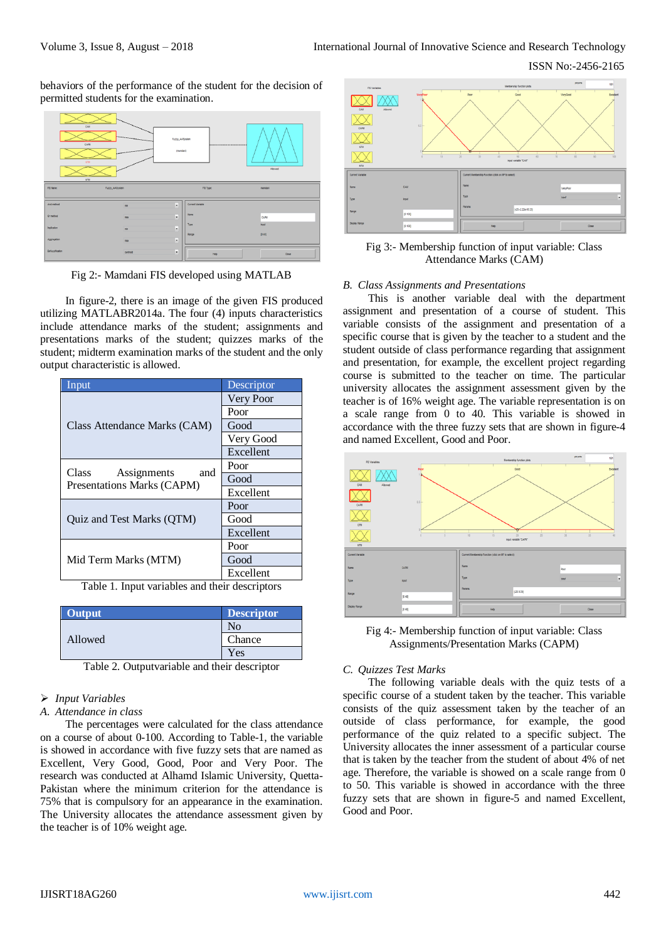ISSN No:-2456-2165

behaviors of the performance of the student for the decision of permitted students for the examination.



Fig 2:- Mamdani FIS developed using MATLAB

In figure-2, there is an image of the given FIS produced utilizing MATLABR2014a. The four (4) inputs characteristics include attendance marks of the student; assignments and presentations marks of the student; quizzes marks of the student; midterm examination marks of the student and the only output characteristic is allowed.

| Input                                                     | Descriptor |  |  |
|-----------------------------------------------------------|------------|--|--|
|                                                           | Very Poor  |  |  |
|                                                           | Poor       |  |  |
| Class Attendance Marks (CAM)                              | Good       |  |  |
|                                                           | Very Good  |  |  |
|                                                           | Excellent  |  |  |
|                                                           | Poor       |  |  |
| Class<br>Assignments<br>and<br>Presentations Marks (CAPM) | Good       |  |  |
|                                                           | Excellent  |  |  |
|                                                           | Poor       |  |  |
| <b>Ouiz and Test Marks (OTM)</b>                          | Good       |  |  |
|                                                           | Excellent  |  |  |
|                                                           | Poor       |  |  |
| Mid Term Marks (MTM)                                      | Good       |  |  |
|                                                           | Excellent  |  |  |

Table 1. Input variables and their descriptors

| Output  | <b>Descriptor</b> |
|---------|-------------------|
|         | Nο                |
| Allowed | Chance            |
|         | <b>Y</b> es       |

Table 2. Outputvariable and their descriptor

# *Input Variables*

#### *A. Attendance in class*

The percentages were calculated for the class attendance on a course of about 0-100. According to Table-1, the variable is showed in accordance with five fuzzy sets that are named as Excellent, Very Good, Good, Poor and Very Poor. The research was conducted at Alhamd Islamic University, Quetta-Pakistan where the minimum criterion for the attendance is 75% that is compulsory for an appearance in the examination. The University allocates the attendance assessment given by the teacher is of 10% weight age.



Fig 3:- Membership function of input variable: Class Attendance Marks (CAM)

#### *B. Class Assignments and Presentations*

This is another variable deal with the department assignment and presentation of a course of student. This variable consists of the assignment and presentation of a specific course that is given by the teacher to a student and the student outside of class performance regarding that assignment and presentation, for example, the excellent project regarding course is submitted to the teacher on time. The particular university allocates the assignment assessment given by the teacher is of 16% weight age. The variable representation is on a scale range from 0 to 40. This variable is showed in accordance with the three fuzzy sets that are shown in figure-4 and named Excellent, Good and Poor.



Fig 4:- Membership function of input variable: Class Assignments/Presentation Marks (CAPM)

#### *C. Quizzes Test Marks*

The following variable deals with the quiz tests of a specific course of a student taken by the teacher. This variable consists of the quiz assessment taken by the teacher of an outside of class performance, for example, the good performance of the quiz related to a specific subject. The University allocates the inner assessment of a particular course that is taken by the teacher from the student of about 4% of net age. Therefore, the variable is showed on a scale range from 0 to 50. This variable is showed in accordance with the three fuzzy sets that are shown in figure-5 and named Excellent, Good and Poor.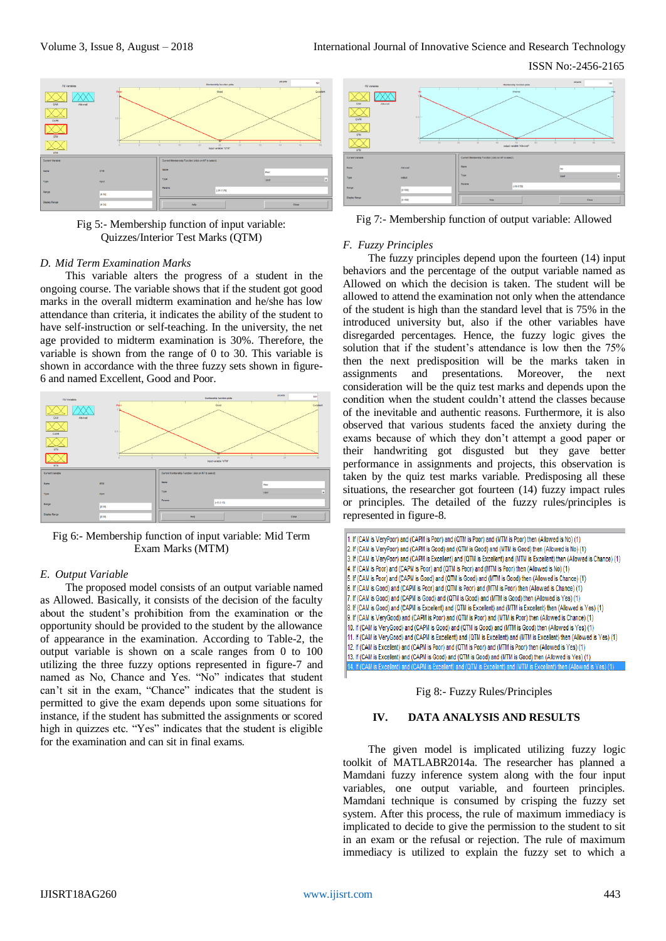ISSN No:-2456-2165



Fig 5:- Membership function of input variable: Quizzes/Interior Test Marks (QTM)

#### *D. Mid Term Examination Marks*

This variable alters the progress of a student in the ongoing course. The variable shows that if the student got good marks in the overall midterm examination and he/she has low attendance than criteria, it indicates the ability of the student to have self-instruction or self-teaching. In the university, the net age provided to midterm examination is 30%. Therefore, the variable is shown from the range of 0 to 30. This variable is shown in accordance with the three fuzzy sets shown in figure-6 and named Excellent, Good and Poor.



Fig 6:- Membership function of input variable: Mid Term Exam Marks (MTM)

### *E. Output Variable*

The proposed model consists of an output variable named as Allowed. Basically, it consists of the decision of the faculty about the student's prohibition from the examination or the opportunity should be provided to the student by the allowance of appearance in the examination. According to Table-2, the output variable is shown on a scale ranges from 0 to 100 utilizing the three fuzzy options represented in figure-7 and named as No, Chance and Yes. "No" indicates that student can't sit in the exam, "Chance" indicates that the student is permitted to give the exam depends upon some situations for instance, if the student has submitted the assignments or scored high in quizzes etc. "Yes" indicates that the student is eligible for the examination and can sit in final exams.



Fig 7:- Membership function of output variable: Allowed

#### *F. Fuzzy Principles*

The fuzzy principles depend upon the fourteen (14) input behaviors and the percentage of the output variable named as Allowed on which the decision is taken. The student will be allowed to attend the examination not only when the attendance of the student is high than the standard level that is 75% in the introduced university but, also if the other variables have disregarded percentages. Hence, the fuzzy logic gives the solution that if the student's attendance is low then the 75% then the next predisposition will be the marks taken in assignments and presentations. Moreover, the next consideration will be the quiz test marks and depends upon the condition when the student couldn't attend the classes because of the inevitable and authentic reasons. Furthermore, it is also observed that various students faced the anxiety during the exams because of which they don't attempt a good paper or their handwriting got disgusted but they gave better performance in assignments and projects, this observation is taken by the quiz test marks variable. Predisposing all these situations, the researcher got fourteen (14) fuzzy impact rules or principles. The detailed of the fuzzy rules/principles is represented in figure-8.

| 1. If (CAM is VeryPoor) and (CAPM is Poor) and (QTM is Poor) and (MTM is Poor) then (Allowed is No) (1)                    |
|----------------------------------------------------------------------------------------------------------------------------|
| 2. If (CAM is VeryPoor) and (CAPM is Good) and (QTM is Good) and (MTM is Good) then (Allowed is No) (1)                    |
| 3. If (CAM is VeryPoor) and (CAPM is Excellent) and (QTM is Excellent) and (MTM is Excellent) then (Allowed is Chance) (1) |
| 4. If (CAM is Poor) and (CAPM is Poor) and (QTM is Poor) and (MTM is Poor) then (Allowed is No) (1)                        |
| 5. If (CAM is Poor) and (CAPM is Good) and (QTM is Good) and (MTM is Good) then (Allowed is Chance) (1)                    |
| 6. If (CAM is Good) and (CAPM is Poor) and (QTM is Poor) and (MTM is Poor) then (Allowed is Chance) (1)                    |
| 7. If (CAM is Good) and (CAPM is Good) and (QTM is Good) and (MTM is Good) then (Allowed is Yes) (1)                       |
| 8. If (CAM is Good) and (CAPM is Excellent) and (QTM is Excellent) and (MTM is Excellent) then (Allowed is Yes) (1)        |
| 9. If (CAM is VeryGood) and (CAPM is Poor) and (QTM is Poor) and (MTM is Poor) then (Allowed is Chance) (1)                |
| (1) 10. If (CAM is VeryGood) and (CAPM is Good) and (QTM is Good) and (MTM is Good) then (Allowed is Yes) (1)              |
| 11. If (CAM is VeryGood) and (CAPM is Excellent) and (QTM is Excellent) and (MTM is Excellent) then (Allowed is Yes) (1)   |
| 12. If (CAM is Excellent) and (CAPM is Poor) and (QTM is Poor) and (MTM is Poor) then (Allowed is Yes) (1)                 |
| 13. If (CAM is Excellent) and (CAPM is Good) and (QTM is Good) and (MTM is Good) then (Allowed is Yes) (1)                 |
|                                                                                                                            |

Fig 8:- Fuzzy Rules/Principles

## **IV. DATA ANALYSIS AND RESULTS**

The given model is implicated utilizing fuzzy logic toolkit of MATLABR2014a. The researcher has planned a Mamdani fuzzy inference system along with the four input variables, one output variable, and fourteen principles. Mamdani technique is consumed by crisping the fuzzy set system. After this process, the rule of maximum immediacy is implicated to decide to give the permission to the student to sit in an exam or the refusal or rejection. The rule of maximum immediacy is utilized to explain the fuzzy set to which a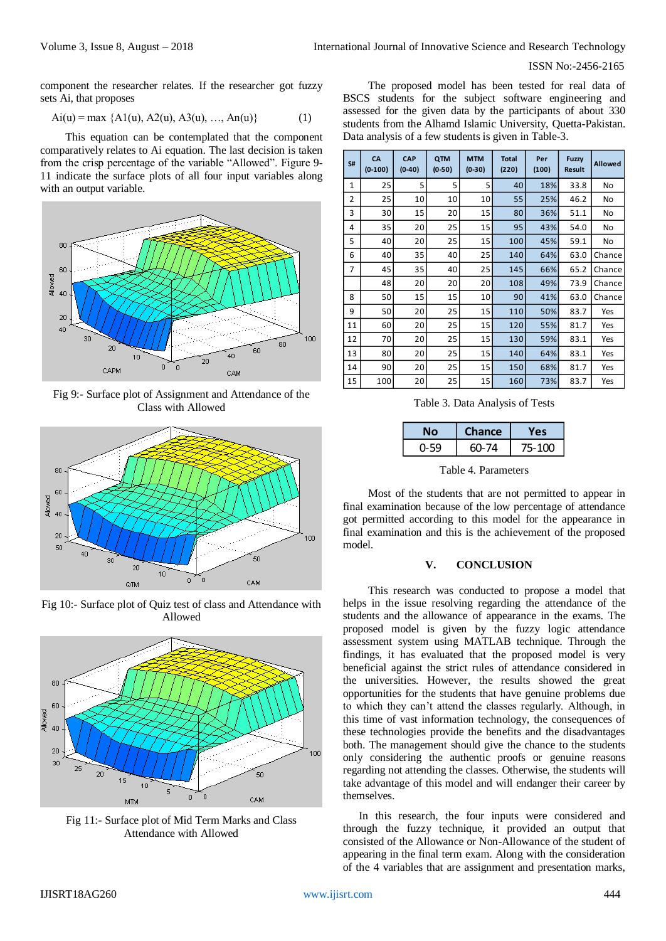component the researcher relates. If the researcher got fuzzy sets Ai, that proposes

$$
Ai(u) = max \{ A1(u), A2(u), A3(u), ..., An(u) \}
$$
 (1)

This equation can be contemplated that the component comparatively relates to Ai equation. The last decision is taken from the crisp percentage of the variable "Allowed". Figure 9- 11 indicate the surface plots of all four input variables along with an output variable.



Fig 9:- Surface plot of Assignment and Attendance of the Class with Allowed



Fig 10:- Surface plot of Quiz test of class and Attendance with Allowed



Fig 11:- Surface plot of Mid Term Marks and Class Attendance with Allowed

The proposed model has been tested for real data of BSCS students for the subject software engineering and assessed for the given data by the participants of about 330 students from the Alhamd Islamic University, Quetta-Pakistan. Data analysis of a few students is given in Table-3.

| S#                                                                                                                                                                                                                                                                                                                                                                                                                                                                                                                                                                                                                                                                                                                                                                                                                                                                                                                                                                                                                                                                                                             | CA<br>$(0-100)$ | CAP<br>$(0-40)$ | QTM<br>$(0-50)$ | <b>MTM</b><br>$(0-30)$ | <b>Total</b><br>(220) | Per<br>(100) | <b>Fuzzy</b><br><b>Result</b> | <b>Allowed</b> |
|----------------------------------------------------------------------------------------------------------------------------------------------------------------------------------------------------------------------------------------------------------------------------------------------------------------------------------------------------------------------------------------------------------------------------------------------------------------------------------------------------------------------------------------------------------------------------------------------------------------------------------------------------------------------------------------------------------------------------------------------------------------------------------------------------------------------------------------------------------------------------------------------------------------------------------------------------------------------------------------------------------------------------------------------------------------------------------------------------------------|-----------------|-----------------|-----------------|------------------------|-----------------------|--------------|-------------------------------|----------------|
| 1                                                                                                                                                                                                                                                                                                                                                                                                                                                                                                                                                                                                                                                                                                                                                                                                                                                                                                                                                                                                                                                                                                              | 25              | 5               | 5               | 5                      | 40                    | 18%          | 33.8                          | No             |
| 2                                                                                                                                                                                                                                                                                                                                                                                                                                                                                                                                                                                                                                                                                                                                                                                                                                                                                                                                                                                                                                                                                                              | 25              | 10              | 10              | 10                     | 55                    | 25%          | 46.2                          | No             |
| 3                                                                                                                                                                                                                                                                                                                                                                                                                                                                                                                                                                                                                                                                                                                                                                                                                                                                                                                                                                                                                                                                                                              | 30              | 15              | 20              | 15                     | 80                    | 36%          | 51.1                          | No             |
| 4                                                                                                                                                                                                                                                                                                                                                                                                                                                                                                                                                                                                                                                                                                                                                                                                                                                                                                                                                                                                                                                                                                              | 35              | 20              | 25              | 15                     | 95                    | 43%          | 54.0                          | No             |
| 5                                                                                                                                                                                                                                                                                                                                                                                                                                                                                                                                                                                                                                                                                                                                                                                                                                                                                                                                                                                                                                                                                                              | 40              | 20              | 25              | 15                     | 100                   | 45%          | 59.1                          | No             |
| 6                                                                                                                                                                                                                                                                                                                                                                                                                                                                                                                                                                                                                                                                                                                                                                                                                                                                                                                                                                                                                                                                                                              | 40              | 35              | 40              | 25                     | 140                   | 64%          | 63.0                          | Chance         |
| $\overline{7}$                                                                                                                                                                                                                                                                                                                                                                                                                                                                                                                                                                                                                                                                                                                                                                                                                                                                                                                                                                                                                                                                                                 | 45              | 35              | 40              | 25                     | 145                   | 66%          | 65.2                          | Chance         |
|                                                                                                                                                                                                                                                                                                                                                                                                                                                                                                                                                                                                                                                                                                                                                                                                                                                                                                                                                                                                                                                                                                                | 48              | 20              | 20              | 20                     | 108                   | 49%          | 73.9                          | Chance         |
| 8                                                                                                                                                                                                                                                                                                                                                                                                                                                                                                                                                                                                                                                                                                                                                                                                                                                                                                                                                                                                                                                                                                              | 50              | 15              | 15              | 10                     | 90                    | 41%          | 63.0                          | Chance         |
| 9                                                                                                                                                                                                                                                                                                                                                                                                                                                                                                                                                                                                                                                                                                                                                                                                                                                                                                                                                                                                                                                                                                              | 50              | 20              | 25              | 15                     | 110                   | 50%          | 83.7                          | Yes            |
| 11                                                                                                                                                                                                                                                                                                                                                                                                                                                                                                                                                                                                                                                                                                                                                                                                                                                                                                                                                                                                                                                                                                             | 60              | 20              | 25              | 15                     | 120                   | 55%          | 81.7                          | Yes            |
| 12                                                                                                                                                                                                                                                                                                                                                                                                                                                                                                                                                                                                                                                                                                                                                                                                                                                                                                                                                                                                                                                                                                             | 70              | 20              | 25              | 15                     | 130                   | 59%          | 83.1                          | Yes            |
| 13                                                                                                                                                                                                                                                                                                                                                                                                                                                                                                                                                                                                                                                                                                                                                                                                                                                                                                                                                                                                                                                                                                             | 80              | 20              | 25              | 15                     | 140                   | 64%          | 83.1                          | Yes            |
| 14                                                                                                                                                                                                                                                                                                                                                                                                                                                                                                                                                                                                                                                                                                                                                                                                                                                                                                                                                                                                                                                                                                             | 90              | 20              | 25              | 15                     | 150                   | 68%          | 81.7                          | Yes            |
| 15                                                                                                                                                                                                                                                                                                                                                                                                                                                                                                                                                                                                                                                                                                                                                                                                                                                                                                                                                                                                                                                                                                             | 100             | 20              | 25              | 15                     | 160                   | 73%          | 83.7                          | Yes            |
| Table 3. Data Analysis of Tests                                                                                                                                                                                                                                                                                                                                                                                                                                                                                                                                                                                                                                                                                                                                                                                                                                                                                                                                                                                                                                                                                |                 |                 |                 |                        |                       |              |                               |                |
|                                                                                                                                                                                                                                                                                                                                                                                                                                                                                                                                                                                                                                                                                                                                                                                                                                                                                                                                                                                                                                                                                                                |                 |                 | <b>No</b>       | <b>Chance</b>          |                       | Yes          |                               |                |
|                                                                                                                                                                                                                                                                                                                                                                                                                                                                                                                                                                                                                                                                                                                                                                                                                                                                                                                                                                                                                                                                                                                |                 |                 | $0 - 59$        | 60-74                  |                       | 75-100       |                               |                |
| Table 4. Parameters<br>Most of the students that are not permitted to appear in<br>final examination because of the low percentage of attendance                                                                                                                                                                                                                                                                                                                                                                                                                                                                                                                                                                                                                                                                                                                                                                                                                                                                                                                                                               |                 |                 |                 |                        |                       |              |                               |                |
| got permitted according to this model for the appearance in<br>final examination and this is the achievement of the proposed<br>model.                                                                                                                                                                                                                                                                                                                                                                                                                                                                                                                                                                                                                                                                                                                                                                                                                                                                                                                                                                         |                 |                 |                 |                        |                       |              |                               |                |
| <b>CONCLUSION</b><br>V.                                                                                                                                                                                                                                                                                                                                                                                                                                                                                                                                                                                                                                                                                                                                                                                                                                                                                                                                                                                                                                                                                        |                 |                 |                 |                        |                       |              |                               |                |
| This research was conducted to propose a model that<br>helps in the issue resolving regarding the attendance of the<br>students and the allowance of appearance in the exams. The<br>proposed model is given by the fuzzy logic attendance<br>assessment system using MATLAB technique. Through the<br>findings, it has evaluated that the proposed model is very<br>beneficial against the strict rules of attendance considered in<br>the universities. However, the results showed the great<br>opportunities for the students that have genuine problems due<br>to which they can't attend the classes regularly. Although, in<br>this time of vast information technology, the consequences of<br>these technologies provide the benefits and the disadvantages<br>both. The management should give the chance to the students<br>only considering the authentic proofs or genuine reasons<br>regarding not attending the classes. Otherwise, the students will<br>take advantage of this model and will endanger their career by<br>themselves.<br>In this research, the four inputs were considered and |                 |                 |                 |                        |                       |              |                               |                |
| through the fuzzy technique, it provided an output that<br>consisted of the Allowance or Non-Allowance of the student of<br>appearing in the final term exam. Along with the consideration<br>of the 4 variables that are assignment and presentation marks,                                                                                                                                                                                                                                                                                                                                                                                                                                                                                                                                                                                                                                                                                                                                                                                                                                                   |                 |                 |                 |                        |                       |              |                               |                |

Table 3. Data Analysis of Tests

|      | Chance | 7 A S  |
|------|--------|--------|
| በ-59 | 60-74  | 75-100 |

Table 4. Parameters

## **V. CONCLUSION**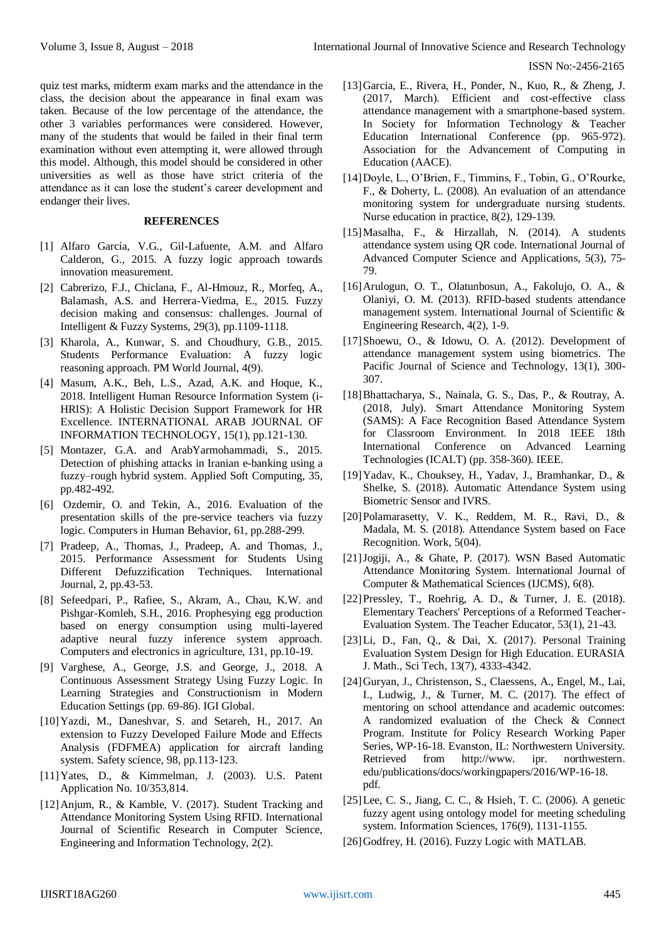quiz test marks, midterm exam marks and the attendance in the class, the decision about the appearance in final exam was taken. Because of the low percentage of the attendance, the other 3 variables performances were considered. However, many of the students that would be failed in their final term examination without even attempting it, were allowed through this model. Although, this model should be considered in other universities as well as those have strict criteria of the attendance as it can lose the student's career development and endanger their lives.

#### **REFERENCES**

- [1] Alfaro García, V.G., Gil-Lafuente, A.M. and Alfaro Calderon, G., 2015. A fuzzy logic approach towards innovation measurement.
- [2] Cabrerizo, F.J., Chiclana, F., Al-Hmouz, R., Morfeq, A., Balamash, A.S. and Herrera-Viedma, E., 2015. Fuzzy decision making and consensus: challenges. Journal of Intelligent & Fuzzy Systems, 29(3), pp.1109-1118.
- [3] Kharola, A., Kunwar, S. and Choudhury, G.B., 2015. Students Performance Evaluation: A fuzzy logic reasoning approach. PM World Journal, 4(9).
- [4] Masum, A.K., Beh, L.S., Azad, A.K. and Hoque, K., 2018. Intelligent Human Resource Information System (i-HRIS): A Holistic Decision Support Framework for HR Excellence. INTERNATIONAL ARAB JOURNAL OF INFORMATION TECHNOLOGY, 15(1), pp.121-130.
- [5] Montazer, G.A. and ArabYarmohammadi, S., 2015. Detection of phishing attacks in Iranian e-banking using a fuzzy–rough hybrid system. Applied Soft Computing, 35, pp.482-492.
- [6] Ozdemir, O. and Tekin, A., 2016. Evaluation of the presentation skills of the pre-service teachers via fuzzy logic. Computers in Human Behavior, 61, pp.288-299.
- [7] Pradeep, A., Thomas, J., Pradeep, A. and Thomas, J., 2015. Performance Assessment for Students Using Different Defuzzification Techniques. International Journal, 2, pp.43-53.
- [8] Sefeedpari, P., Rafiee, S., Akram, A., Chau, K.W. and Pishgar-Komleh, S.H., 2016. Prophesying egg production based on energy consumption using multi-layered adaptive neural fuzzy inference system approach. Computers and electronics in agriculture, 131, pp.10-19.
- [9] Varghese, A., George, J.S. and George, J., 2018. A Continuous Assessment Strategy Using Fuzzy Logic. In Learning Strategies and Constructionism in Modern Education Settings (pp. 69-86). IGI Global.
- [10]Yazdi, M., Daneshvar, S. and Setareh, H., 2017. An extension to Fuzzy Developed Failure Mode and Effects Analysis (FDFMEA) application for aircraft landing system. Safety science, 98, pp.113-123.
- [11]Yates, D., & Kimmelman, J. (2003). U.S. Patent Application No. 10/353,814.
- [12]Anjum, R., & Kamble, V. (2017). Student Tracking and Attendance Monitoring System Using RFID. International Journal of Scientific Research in Computer Science, Engineering and Information Technology, 2(2).
- [13]Garcia, E., Rivera, H., Ponder, N., Kuo, R., & Zheng, J. (2017, March). Efficient and cost-effective class attendance management with a smartphone-based system. In Society for Information Technology & Teacher Education International Conference (pp. 965-972). Association for the Advancement of Computing in Education (AACE).
- [14]Doyle, L., O'Brien, F., Timmins, F., Tobin, G., O'Rourke, F., & Doherty, L. (2008). An evaluation of an attendance monitoring system for undergraduate nursing students. Nurse education in practice, 8(2), 129-139.
- [15]Masalha, F., & Hirzallah, N. (2014). A students attendance system using QR code. International Journal of Advanced Computer Science and Applications, 5(3), 75- 79.
- [16]Arulogun, O. T., Olatunbosun, A., Fakolujo, O. A., & Olaniyi, O. M. (2013). RFID-based students attendance management system. International Journal of Scientific & Engineering Research, 4(2), 1-9.
- [17]Shoewu, O., & Idowu, O. A. (2012). Development of attendance management system using biometrics. The Pacific Journal of Science and Technology, 13(1), 300- 307.
- [18]Bhattacharya, S., Nainala, G. S., Das, P., & Routray, A. (2018, July). Smart Attendance Monitoring System (SAMS): A Face Recognition Based Attendance System for Classroom Environment. In 2018 IEEE 18th International Conference on Advanced Learning Technologies (ICALT) (pp. 358-360). IEEE.
- [19]Yadav, K., Chouksey, H., Yadav, J., Bramhankar, D., & Shelke, S. (2018). Automatic Attendance System using Biometric Sensor and IVRS.
- [20]Polamarasetty, V. K., Reddem, M. R., Ravi, D., & Madala, M. S. (2018). Attendance System based on Face Recognition. Work, 5(04).
- [21]Jogiji, A., & Ghate, P. (2017). WSN Based Automatic Attendance Monitoring System. International Journal of Computer & Mathematical Sciences (IJCMS), 6(8).
- [22]Pressley, T., Roehrig, A. D., & Turner, J. E. (2018). Elementary Teachers' Perceptions of a Reformed Teacher-Evaluation System. The Teacher Educator, 53(1), 21-43.
- [23]Li, D., Fan, Q., & Dai, X. (2017). Personal Training Evaluation System Design for High Education. EURASIA J. Math., Sci Tech, 13(7), 4333-4342.
- [24]Guryan, J., Christenson, S., Claessens, A., Engel, M., Lai, I., Ludwig, J., & Turner, M. C. (2017). The effect of mentoring on school attendance and academic outcomes: A randomized evaluation of the Check & Connect Program. Institute for Policy Research Working Paper Series, WP-16-18. Evanston, IL: Northwestern University. Retrieved from http://www. ipr. northwestern. edu/publications/docs/workingpapers/2016/WP-16-18. pdf.
- [25]Lee, C. S., Jiang, C. C., & Hsieh, T. C. (2006). A genetic fuzzy agent using ontology model for meeting scheduling system. Information Sciences, 176(9), 1131-1155.
- [26] Godfrey, H. (2016). Fuzzy Logic with MATLAB.